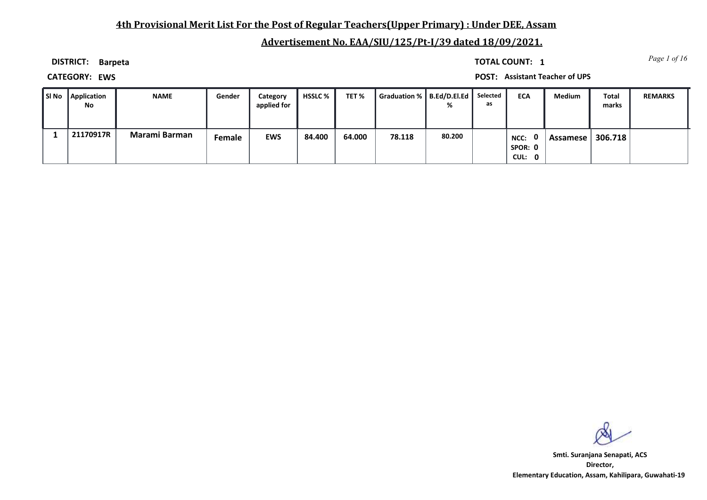## **4th Provisional Merit List For the Post of Regular Teachers(Upper Primary) : Under DEE, Assam**

# **Advertisement No. EAA/SIU/125/Pt-I/39 dated 18/09/2021.**

**DISTRICT: Barpeta**

*Page 1 of 16* **TOTAL COUNT: 1**

**CATEGORY: EWS POST: Assistant Teacher of UPS**

| l SI No | Application<br>No. | <b>NAME</b>   | Gender | Category<br>applied for | HSSLC % | TET%   | Graduation %   B.Ed/D.El.Ed | %      | Selected<br>as | <b>ECA</b>                          | <b>Medium</b> | <b>Total</b><br>marks | <b>REMARKS</b> |
|---------|--------------------|---------------|--------|-------------------------|---------|--------|-----------------------------|--------|----------------|-------------------------------------|---------------|-----------------------|----------------|
|         | 21170917R          | Marami Barman | Female | <b>EWS</b>              | 84.400  | 64.000 | 78.118                      | 80.200 |                | . റ<br>NCC:<br>Spor: 0<br>CUL:<br>0 | Assamese l    | 306.718               |                |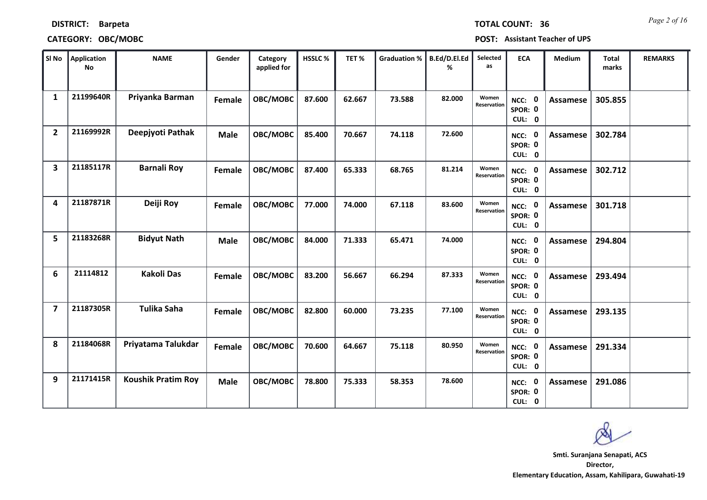|  | <b>DISTRICT:</b> | <b>Barpeta</b> |
|--|------------------|----------------|
|--|------------------|----------------|

| CATEGORY: OBC/MOBC |  |  |  |  |      | <b>POST: Assistant Teacher of UPS</b> |  |
|--------------------|--|--|--|--|------|---------------------------------------|--|
|                    |  |  |  |  | ____ |                                       |  |

| Sl No          | <b>Application</b><br><b>No</b> | <b>NAME</b>               | Gender      | Category<br>applied for | HSSLC% | TET%   | <b>Graduation %</b> | B.Ed/D.El.Ed<br>% | Selected<br>as       | <b>ECA</b>                  | Medium          | <b>Total</b><br>marks | <b>REMARKS</b> |
|----------------|---------------------------------|---------------------------|-------------|-------------------------|--------|--------|---------------------|-------------------|----------------------|-----------------------------|-----------------|-----------------------|----------------|
| 1              | 21199640R                       | Priyanka Barman           | Female      | OBC/MOBC                | 87.600 | 62.667 | 73.588              | 82.000            | Women<br>Reservation | NCC: 0<br>SPOR: 0<br>CUL: 0 | Assamese        | 305.855               |                |
| $\overline{2}$ | 21169992R                       | Deepjyoti Pathak          | <b>Male</b> | OBC/MOBC                | 85.400 | 70.667 | 74.118              | 72.600            |                      | NCC: 0<br>SPOR: 0<br>CUL: 0 | <b>Assamese</b> | 302.784               |                |
| 3              | 21185117R                       | <b>Barnali Roy</b>        | Female      | OBC/MOBC                | 87.400 | 65.333 | 68.765              | 81.214            | Women<br>Reservation | NCC: 0<br>SPOR: 0<br>CUL: 0 | <b>Assamese</b> | 302.712               |                |
| 4              | 21187871R                       | Deiji Roy                 | Female      | OBC/MOBC                | 77.000 | 74.000 | 67.118              | 83.600            | Women<br>Reservation | NCC: 0<br>SPOR: 0<br>CUL: 0 | Assamese        | 301.718               |                |
| 5              | 21183268R                       | <b>Bidyut Nath</b>        | <b>Male</b> | OBC/MOBC                | 84.000 | 71.333 | 65.471              | 74.000            |                      | NCC: 0<br>SPOR: 0<br>CUL: 0 | <b>Assamese</b> | 294.804               |                |
| 6              | 21114812                        | <b>Kakoli Das</b>         | Female      | OBC/MOBC                | 83.200 | 56.667 | 66.294              | 87.333            | Women<br>Reservation | NCC: 0<br>SPOR: 0<br>CUL: 0 | <b>Assamese</b> | 293.494               |                |
| 7              | 21187305R                       | <b>Tulika Saha</b>        | Female      | OBC/MOBC                | 82.800 | 60.000 | 73.235              | 77.100            | Women<br>Reservation | NCC: 0<br>SPOR: 0<br>CUL: 0 | Assamese        | 293.135               |                |
| 8              | 21184068R                       | Priyatama Talukdar        | Female      | OBC/MOBC                | 70.600 | 64.667 | 75.118              | 80.950            | Women<br>Reservation | NCC: 0<br>SPOR: 0<br>CUL: 0 | <b>Assamese</b> | 291.334               |                |
| 9              | 21171415R                       | <b>Koushik Pratim Roy</b> | <b>Male</b> | OBC/MOBC                | 78.800 | 75.333 | 58.353              | 78.600            |                      | NCC: 0<br>SPOR: 0<br>CUL: 0 | <b>Assamese</b> | 291.086               |                |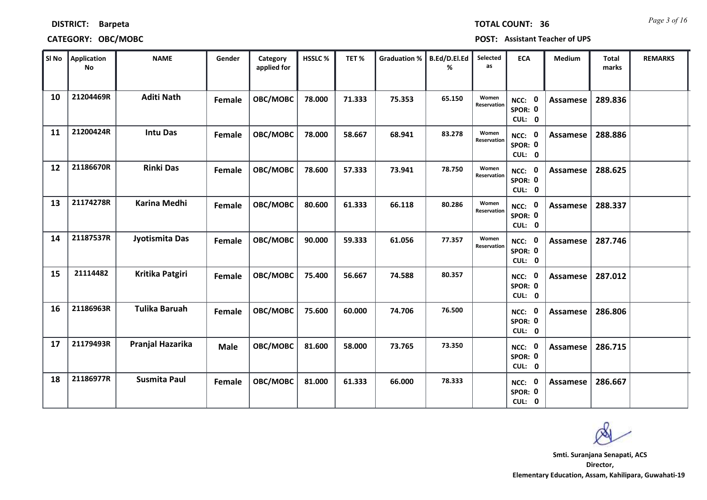| <b>DISTRICT:</b> | <b>Barpeta</b> |
|------------------|----------------|
|------------------|----------------|

### **CATEGORY: OBC/MOBC POST: Assistant Teacher of UPS**

| SI No | Application<br><b>No</b> | <b>NAME</b>          | Gender      | Category<br>applied for | HSSLC% | TET%   | <b>Graduation %</b> | B.Ed/D.El.Ed<br>℅ | Selected<br>as       | <b>ECA</b>                         | <b>Medium</b>   | <b>Total</b><br>marks | <b>REMARKS</b> |
|-------|--------------------------|----------------------|-------------|-------------------------|--------|--------|---------------------|-------------------|----------------------|------------------------------------|-----------------|-----------------------|----------------|
| 10    | 21204469R                | <b>Aditi Nath</b>    | Female      | OBC/MOBC                | 78.000 | 71.333 | 75.353              | 65.150            | Women<br>Reservation | NCC: 0<br>SPOR: 0<br>CUL: 0        | Assamese        | 289.836               |                |
| 11    | 21200424R                | <b>Intu Das</b>      | Female      | OBC/MOBC                | 78.000 | 58.667 | 68.941              | 83.278            | Women<br>Reservation | NCC: 0<br>SPOR: 0<br>CUL: 0        | Assamese        | 288.886               |                |
| 12    | 21186670R                | <b>Rinki Das</b>     | Female      | OBC/MOBC                | 78.600 | 57.333 | 73.941              | 78.750            | Women<br>Reservation | NCC: 0<br>SPOR: 0<br>CUL: 0        | Assamese        | 288.625               |                |
| 13    | 21174278R                | <b>Karina Medhi</b>  | Female      | OBC/MOBC                | 80.600 | 61.333 | 66.118              | 80.286            | Women<br>Reservation | NCC: 0<br>SPOR: 0<br>CUL: 0        | Assamese        | 288.337               |                |
| 14    | 21187537R                | Jyotismita Das       | Female      | OBC/MOBC                | 90.000 | 59.333 | 61.056              | 77.357            | Women<br>Reservation | NCC: 0<br>SPOR: 0<br>CUL: 0        | Assamese        | 287.746               |                |
| 15    | 21114482                 | Kritika Patgiri      | Female      | OBC/MOBC                | 75.400 | 56.667 | 74.588              | 80.357            |                      | NCC: 0<br>SPOR: 0<br>CUL: 0        | <b>Assamese</b> | 287.012               |                |
| 16    | 21186963R                | <b>Tulika Baruah</b> | Female      | OBC/MOBC                | 75.600 | 60.000 | 74.706              | 76.500            |                      | NCC: 0<br>SPOR: 0<br>CUL: 0        | Assamese        | 286.806               |                |
| 17    | 21179493R                | Pranjal Hazarika     | <b>Male</b> | OBC/MOBC                | 81.600 | 58.000 | 73.765              | 73.350            |                      | <b>NCC: 0</b><br>SPOR: 0<br>CUL: 0 | Assamese        | 286.715               |                |
| 18    | 21186977R                | <b>Susmita Paul</b>  | Female      | OBC/MOBC                | 81.000 | 61.333 | 66.000              | 78.333            |                      | NCC: 0<br>SPOR: 0<br>CUL: 0        | Assamese        | 286.667               |                |

**Director, Elementary Education, Assam, Kahilipara, Guwahati-19 Smti. Suranjana Senapati, ACS**

*Page 3 of 16* **TOTAL COUNT: 36**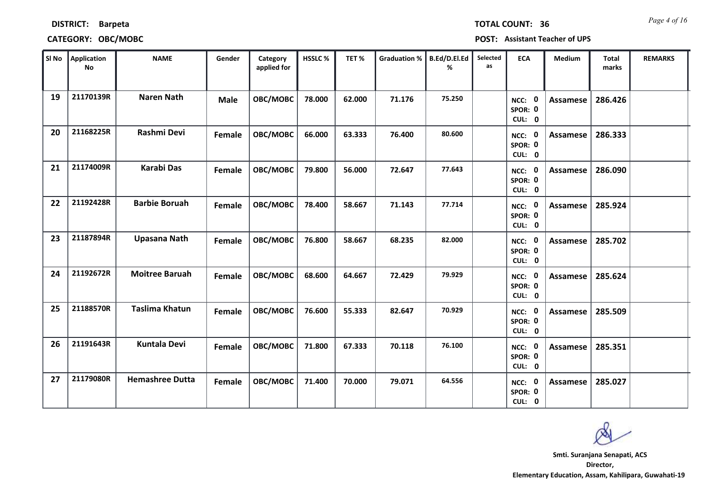|    | SI No   Application<br><b>No</b> | <b>NAME</b>            | Gender      | Category<br>applied for | HSSLC% | TET%   | Graduation %   B.Ed/D.El.Ed | ℅      | Selected<br>as | <b>ECA</b>                         | Medium          | Total<br>marks | <b>REMARKS</b> |
|----|----------------------------------|------------------------|-------------|-------------------------|--------|--------|-----------------------------|--------|----------------|------------------------------------|-----------------|----------------|----------------|
| 19 | 21170139R                        | <b>Naren Nath</b>      | <b>Male</b> | OBC/MOBC                | 78.000 | 62.000 | 71.176                      | 75.250 |                | NCC: 0<br>SPOR: 0<br>CUL: 0        | Assamese        | 286.426        |                |
| 20 | 21168225R                        | Rashmi Devi            | Female      | OBC/MOBC                | 66.000 | 63.333 | 76.400                      | 80.600 |                | NCC: 0<br>SPOR: 0<br>CUL: 0        | <b>Assamese</b> | 286.333        |                |
| 21 | 21174009R                        | <b>Karabi Das</b>      | Female      | OBC/MOBC                | 79.800 | 56.000 | 72.647                      | 77.643 |                | NCC: 0<br>SPOR: 0<br>CUL: 0        | Assamese        | 286.090        |                |
| 22 | 21192428R                        | <b>Barbie Boruah</b>   | Female      | OBC/MOBC                | 78.400 | 58.667 | 71.143                      | 77.714 |                | NCC: 0<br>SPOR: 0<br>CUL: 0        | <b>Assamese</b> | 285.924        |                |
| 23 | 21187894R                        | Upasana Nath           | Female      | OBC/MOBC                | 76.800 | 58.667 | 68.235                      | 82.000 |                | NCC: 0<br>SPOR: 0<br>CUL: 0        | <b>Assamese</b> | 285.702        |                |
| 24 | 21192672R                        | <b>Moitree Baruah</b>  | Female      | OBC/MOBC                | 68.600 | 64.667 | 72.429                      | 79.929 |                | NCC: 0<br>SPOR: 0<br>CUL: 0        | Assamese        | 285.624        |                |
| 25 | 21188570R                        | <b>Taslima Khatun</b>  | Female      | OBC/MOBC                | 76.600 | 55.333 | 82.647                      | 70.929 |                | NCC: 0<br>SPOR: 0<br>CUL: 0        | <b>Assamese</b> | 285.509        |                |
| 26 | 21191643R                        | <b>Kuntala Devi</b>    | Female      | OBC/MOBC                | 71.800 | 67.333 | 70.118                      | 76.100 |                | <b>NCC: 0</b><br>SPOR: 0<br>CUL: 0 | Assamese        | 285.351        |                |
| 27 | 21179080R                        | <b>Hemashree Dutta</b> | Female      | OBC/MOBC                | 71.400 | 70.000 | 79.071                      | 64.556 |                | <b>NCC: 0</b><br>SPOR: 0<br>CUL: 0 | Assamese        | 285.027        |                |

### **CATEGORY: OBC/MOBC POST: Assistant Teacher of UPS**

**DISTRICT: Barpeta**

**Director, Elementary Education, Assam, Kahilipara, Guwahati-19 Smti. Suranjana Senapati, ACS**

*Page 4 of 16* **TOTAL COUNT: 36**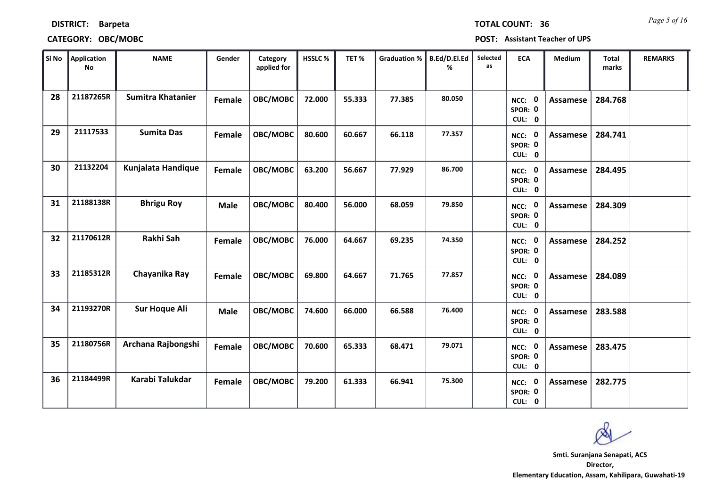| <b>DISTRICT:</b> | <b>Barpeta</b> |
|------------------|----------------|
|------------------|----------------|

### **CATEGORY: OBC/MOBC POSTS**

*Page 5 of 16* **TOTAL COUNT: 36**

| OST: Assistant Teacher of UPS |  |
|-------------------------------|--|
|-------------------------------|--|

| $ $ SI No $ $ | <b>Application</b><br>No | <b>NAME</b>              | Gender      | Category<br>applied for | HSSLC% | TET%   | <b>Graduation %</b> | B.Ed/D.El.Ed<br>% | Selected<br>as | <b>ECA</b>                               | <b>Medium</b>   | <b>Total</b><br>marks | <b>REMARKS</b> |
|---------------|--------------------------|--------------------------|-------------|-------------------------|--------|--------|---------------------|-------------------|----------------|------------------------------------------|-----------------|-----------------------|----------------|
| 28            | 21187265R                | <b>Sumitra Khatanier</b> | Female      | OBC/MOBC                | 72.000 | 55.333 | 77.385              | 80.050            |                | $\mathbf 0$<br>NCC:<br>SPOR: 0<br>CUL: 0 | Assamese        | 284.768               |                |
| 29            | 21117533                 | <b>Sumita Das</b>        | Female      | OBC/MOBC                | 80.600 | 60.667 | 66.118              | 77.357            |                | NCC: 0<br>SPOR: 0<br>CUL: 0              | Assamese        | 284.741               |                |
| 30            | 21132204                 | Kunjalata Handique       | Female      | OBC/MOBC                | 63.200 | 56.667 | 77.929              | 86.700            |                | NCC: 0<br>SPOR: 0<br>CUL: 0              | <b>Assamese</b> | 284.495               |                |
| 31            | 21188138R                | <b>Bhrigu Roy</b>        | <b>Male</b> | OBC/MOBC                | 80.400 | 56.000 | 68.059              | 79.850            |                | $\mathbf 0$<br>NCC:<br>SPOR: 0<br>CUL: 0 | Assamese        | 284.309               |                |
| 32            | 21170612R                | Rakhi Sah                | Female      | OBC/MOBC                | 76.000 | 64.667 | 69.235              | 74.350            |                | NCC: 0<br>SPOR: 0<br>CUL: 0              | Assamese        | 284.252               |                |
| 33            | 21185312R                | Chayanika Ray            | Female      | OBC/MOBC                | 69.800 | 64.667 | 71.765              | 77.857            |                | NCC: 0<br>SPOR: 0<br>CUL: 0              | <b>Assamese</b> | 284.089               |                |
| 34            | 21193270R                | <b>Sur Hoque Ali</b>     | <b>Male</b> | OBC/MOBC                | 74.600 | 66.000 | 66.588              | 76.400            |                | NCC: 0<br>SPOR: 0<br>CUL: 0              | <b>Assamese</b> | 283.588               |                |
| 35            | 21180756R                | Archana Rajbongshi       | Female      | OBC/MOBC                | 70.600 | 65.333 | 68.471              | 79.071            |                | NCC: 0<br>SPOR: 0<br>CUL: 0              | Assamese        | 283.475               |                |
| 36            | 21184499R                | Karabi Talukdar          | Female      | OBC/MOBC                | 79.200 | 61.333 | 66.941              | 75.300            |                | $\mathbf 0$<br>NCC:<br>SPOR: 0<br>CUL: 0 | <b>Assamese</b> | 282.775               |                |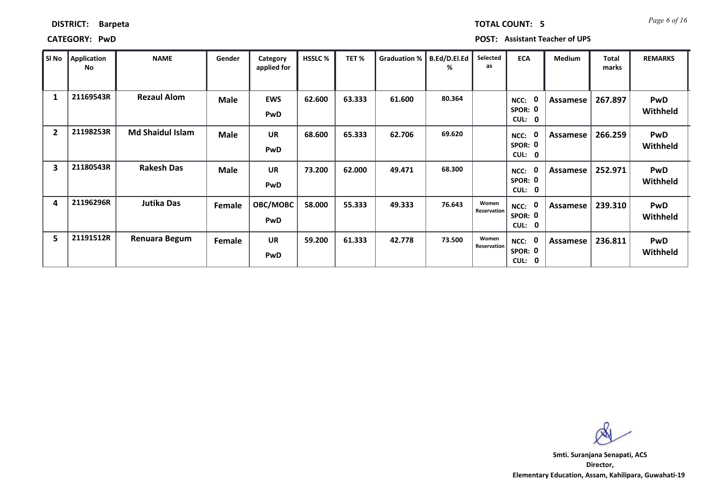| SI No                   | <b>Application</b><br>No | <b>NAME</b>             | Gender      | Category<br>applied for  | <b>HSSLC%</b> | TET%   | Graduation % | B.Ed/D.El.Ed<br>% | Selected<br>as       | <b>ECA</b>                                   | <b>Medium</b> | Total<br>marks | <b>REMARKS</b>         |
|-------------------------|--------------------------|-------------------------|-------------|--------------------------|---------------|--------|--------------|-------------------|----------------------|----------------------------------------------|---------------|----------------|------------------------|
| 1                       | 21169543R                | <b>Rezaul Alom</b>      | <b>Male</b> | <b>EWS</b><br><b>PwD</b> | 62.600        | 63.333 | 61.600       | 80.364            |                      | 0<br>NCC:<br>SPOR: 0<br>CUL: 0               | Assamese      | 267.897        | <b>PwD</b><br>Withheld |
| $\overline{2}$          | 21198253R                | <b>Md Shaidul Islam</b> | <b>Male</b> | <b>UR</b><br><b>PwD</b>  | 68.600        | 65.333 | 62.706       | 69.620            |                      | 0<br>NCC:<br>SPOR: 0<br>CUL: 0               | Assamese      | 266.259        | PwD<br>Withheld        |
| $\overline{\mathbf{3}}$ | 21180543R                | <b>Rakesh Das</b>       | <b>Male</b> | <b>UR</b><br><b>PwD</b>  | 73.200        | 62.000 | 49.471       | 68.300            |                      | 0<br>NCC:<br>SPOR: 0<br><b>CUL:</b><br>- 0   | Assamese      | 252.971        | PwD<br>Withheld        |
| 4                       | 21196296R                | Jutika Das              | Female      | OBC/MOBC<br><b>PwD</b>   | 58.000        | 55.333 | 49.333       | 76.643            | Women<br>Reservation | 0<br>NCC:<br>SPOR: 0<br>CUL:<br>$\mathbf{0}$ | Assamese      | 239.310        | PwD<br>Withheld        |
| 5                       | 21191512R                | Renuara Begum           | Female      | <b>UR</b><br><b>PwD</b>  | 59.200        | 61.333 | 42.778       | 73.500            | Women<br>Reservation | 0<br>NCC:<br>SPOR: 0<br>CUL: 0               | Assamese      | 236.811        | PwD<br>Withheld        |

**CATEGORY: PwD POST: Assistant Teacher of UPS**

**DISTRICT: Barpeta**

**Director, Elementary Education, Assam, Kahilipara, Guwahati-19 Smti. Suranjana Senapati, ACS**

*Page 6 of 16* **TOTAL COUNT: 5**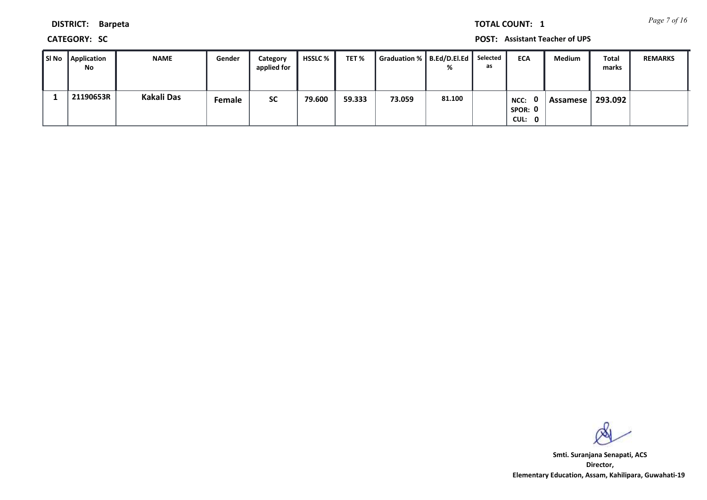*Page 7 of 16* **TOTAL COUNT: 1**

**DISTRICT: Barpeta**

**CATEGORY: SC POST: Assistant Teacher of UPS**

| SI No | <b>Application</b><br>No | <b>NAME</b>       | Gender        | Category<br>applied for | HSSLC % | TET %  | Graduation %   B.Ed/D.El.Ed |        | Selected<br>as | <b>ECA</b>                | Medium   | <b>Total</b><br>marks | <b>REMARKS</b> |
|-------|--------------------------|-------------------|---------------|-------------------------|---------|--------|-----------------------------|--------|----------------|---------------------------|----------|-----------------------|----------------|
|       | 21190653R                | <b>Kakali Das</b> | <b>Female</b> | <b>SC</b>               | 79.600  | 59.333 | 73.059                      | 81.100 |                | NCC:<br>SPOR: 0<br>CUL: 0 | Assamese | 293.092               |                |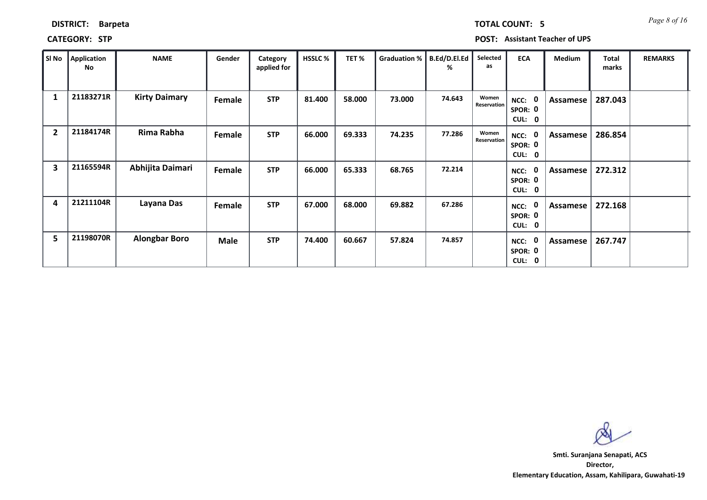| SI No                   | <b>Application</b><br>No | <b>NAME</b>          | Gender      | Category<br>applied for | <b>HSSLC %</b> | TET %  | Graduation % | B.Ed/D.El.Ed<br>% | Selected<br>as       | <b>ECA</b>                                            | <b>Medium</b> | <b>Total</b><br>marks | <b>REMARKS</b> |
|-------------------------|--------------------------|----------------------|-------------|-------------------------|----------------|--------|--------------|-------------------|----------------------|-------------------------------------------------------|---------------|-----------------------|----------------|
| 1                       | 21183271R                | <b>Kirty Daimary</b> | Female      | <b>STP</b>              | 81.400         | 58.000 | 73.000       | 74.643            | Women<br>Reservation | NCC: 0<br>SPOR: 0<br>CUL: 0                           | Assamese      | 287.043               |                |
| $\overline{2}$          | 21184174R                | Rima Rabha           | Female      | <b>STP</b>              | 66.000         | 69.333 | 74.235       | 77.286            | Women<br>Reservation | - 0<br>NCC:<br>SPOR: 0<br>CUL:<br>0                   | Assamese      | 286.854               |                |
| $\overline{\mathbf{3}}$ | 21165594R                | Abhijita Daimari     | Female      | <b>STP</b>              | 66.000         | 65.333 | 68.765       | 72.214            |                      | $\mathbf 0$<br>NCC:<br>SPOR: 0<br>CUL:<br>$\mathbf 0$ | Assamese      | 272.312               |                |
| 4                       | 21211104R                | Layana Das           | Female      | <b>STP</b>              | 67.000         | 68.000 | 69.882       | 67.286            |                      | $\mathbf{0}$<br>NCC:<br>SPOR: 0<br>CUL: 0             | Assamese      | 272.168               |                |
| 5                       | 21198070R                | <b>Alongbar Boro</b> | <b>Male</b> | <b>STP</b>              | 74.400         | 60.667 | 57.824       | 74.857            |                      | $\mathbf 0$<br>NCC:<br>SPOR: 0<br>CUL: 0              | Assamese      | 267.747               |                |

### **CATEGORY: STP POST: Assistant Teacher of UPS**

**Director, Elementary Education, Assam, Kahilipara, Guwahati-19 Smti. Suranjana Senapati, ACS**

**DISTRICT: Barpeta**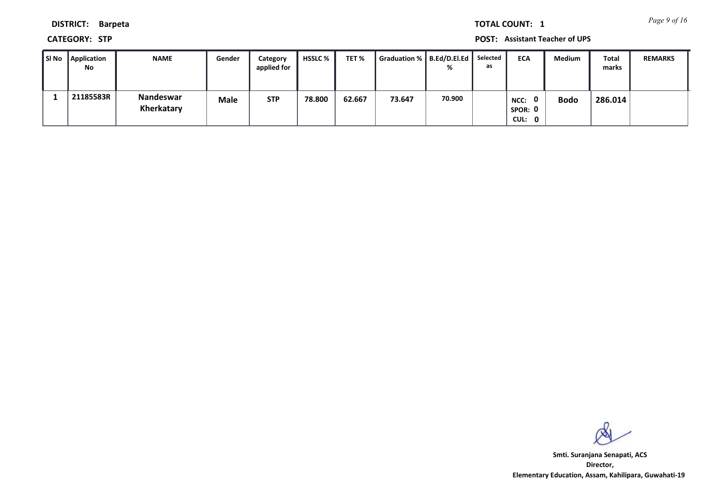*Page 9 of 16* **TOTAL COUNT: 1**

**DISTRICT: Barpeta**

**CATEGORY: STP POST: Assistant Teacher of UPS**

| ∥ SI No | Application<br>No | <b>NAME</b>             | Gender | Category<br>applied for | HSSLC % | TET %  | Graduation %   B.Ed/D.El.Ed   Selected |        | as | <b>ECA</b>                     | <b>Medium</b> | Total<br>marks | <b>REMARKS</b> |
|---------|-------------------|-------------------------|--------|-------------------------|---------|--------|----------------------------------------|--------|----|--------------------------------|---------------|----------------|----------------|
|         | 21185583R         | Nandeswar<br>Kherkatary | Male   | <b>STP</b>              | 78.800  | 62.667 | 73.647                                 | 70.900 |    | 0<br>NCC:<br>SPOR: 0<br>CUL: 0 | <b>Bodo</b>   | 286.014        |                |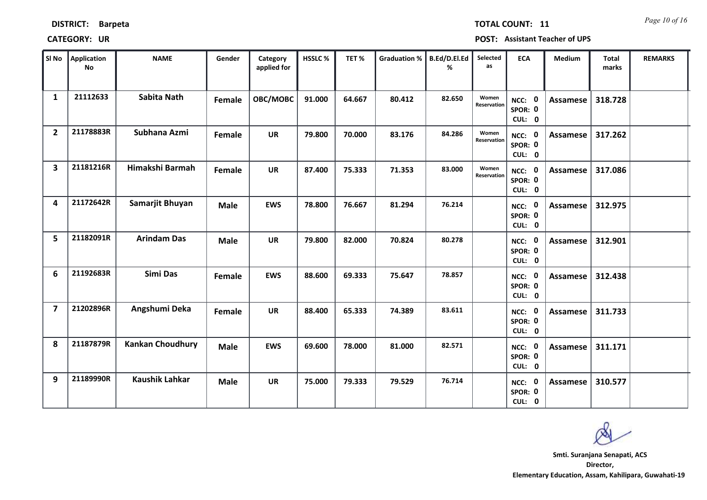| SI No                   | <b>Application</b><br><b>No</b> | <b>NAME</b>             | Gender      | Category<br>applied for | HSSLC% | TET%   | <b>Graduation %</b> | B.Ed/D.El.Ed<br>% | Selected<br>as       | <b>ECA</b>                               | Medium   | <b>Total</b><br>marks | <b>REMARKS</b> |
|-------------------------|---------------------------------|-------------------------|-------------|-------------------------|--------|--------|---------------------|-------------------|----------------------|------------------------------------------|----------|-----------------------|----------------|
| $\mathbf{1}$            | 21112633                        | <b>Sabita Nath</b>      | Female      | OBC/MOBC                | 91.000 | 64.667 | 80.412              | 82.650            | Women<br>Reservation | NCC: 0<br>SPOR: 0<br>CUL: 0              | Assamese | 318.728               |                |
| $\overline{2}$          | 21178883R                       | Subhana Azmi            | Female      | <b>UR</b>               | 79.800 | 70.000 | 83.176              | 84.286            | Women<br>Reservation | NCC: 0<br>SPOR: 0<br>CUL: 0              | Assamese | 317.262               |                |
| $\overline{\mathbf{3}}$ | 21181216R                       | Himakshi Barmah         | Female      | <b>UR</b>               | 87.400 | 75.333 | 71.353              | 83.000            | Women<br>Reservation | NCC: 0<br>SPOR: 0<br>CUL: 0              | Assamese | 317.086               |                |
| 4                       | 21172642R                       | Samarjit Bhuyan         | <b>Male</b> | <b>EWS</b>              | 78.800 | 76.667 | 81.294              | 76.214            |                      | $\mathbf 0$<br>NCC:<br>SPOR: 0<br>CUL: 0 | Assamese | 312.975               |                |
| 5.                      | 21182091R                       | <b>Arindam Das</b>      | <b>Male</b> | <b>UR</b>               | 79.800 | 82.000 | 70.824              | 80.278            |                      | NCC: 0<br>SPOR: 0<br>CUL: 0              | Assamese | 312.901               |                |
| 6                       | 21192683R                       | Simi Das                | Female      | <b>EWS</b>              | 88.600 | 69.333 | 75.647              | 78.857            |                      | NCC: 0<br>SPOR: 0<br>CUL: 0              | Assamese | 312.438               |                |
| $\overline{7}$          | 21202896R                       | Angshumi Deka           | Female      | <b>UR</b>               | 88.400 | 65.333 | 74.389              | 83.611            |                      | NCC: 0<br>SPOR: 0<br>CUL: 0              | Assamese | 311.733               |                |
| 8                       | 21187879R                       | <b>Kankan Choudhury</b> | <b>Male</b> | <b>EWS</b>              | 69.600 | 78.000 | 81.000              | 82.571            |                      | <b>NCC: 0</b><br>SPOR: 0<br>CUL: 0       | Assamese | 311.171               |                |
| 9                       | 21189990R                       | <b>Kaushik Lahkar</b>   | <b>Male</b> | <b>UR</b>               | 75.000 | 79.333 | 79.529              | 76.714            |                      | $\mathbf 0$<br>NCC:<br>SPOR: 0<br>CUL: 0 | Assamese | 310.577               |                |

# **DISTRICT: Barpeta**

### **CATEGORY: UR POST: Assistant Teacher of UPS**

*Page 10 of 16* **TOTAL COUNT: 11**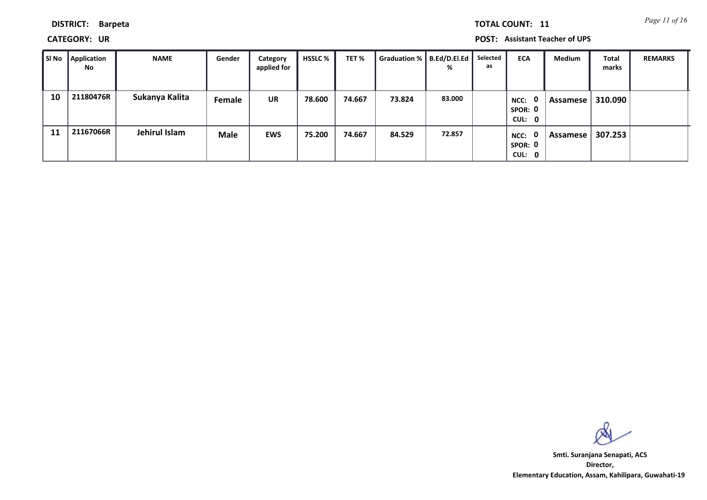*Page 11 of 16* **TOTAL COUNT: 11**

**DISTRICT: Barpeta**

**CATEGORY: UR POST: Assistant Teacher of UPS**

| ∥ SI No | Application<br><b>No</b> | <b>NAME</b>    | Gender | Category<br>applied for | HSSLC % | TET %  | Graduation %   B.Ed/D.El.Ed | %      | Selected<br>as | <b>ECA</b>                                | Medium     | <b>Total</b><br>marks | <b>REMARKS</b> |
|---------|--------------------------|----------------|--------|-------------------------|---------|--------|-----------------------------|--------|----------------|-------------------------------------------|------------|-----------------------|----------------|
| 10      | 21180476R                | Sukanya Kalita | Female | <b>UR</b>               | 78.600  | 74.667 | 73.824                      | 83.000 |                | $\mathbf{0}$<br>NCC:<br>SPOR: 0<br>CUL: 0 | Assamese l | 310.090               |                |
| 11      | 21167066R                | Jehirul Islam  | Male   | <b>EWS</b>              | 75.200  | 74.667 | 84.529                      | 72.857 |                | $\mathbf{0}$<br>NCC:<br>SPOR: 0<br>CUL: 0 | Assamese   | 307.253               |                |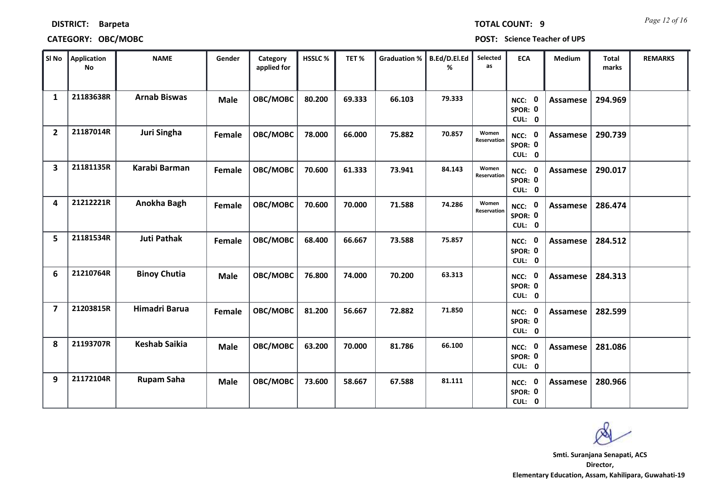| SI No                   | Application<br><b>No</b> | <b>NAME</b>          | Gender      | Category<br>applied for | HSSLC% | TET%   | <b>Graduation %</b> | <b>B.Ed/D.El.Ed</b><br>℅ | Selected<br>as       | <b>ECA</b>                         | Medium          | <b>Total</b><br>marks | <b>REMARKS</b> |
|-------------------------|--------------------------|----------------------|-------------|-------------------------|--------|--------|---------------------|--------------------------|----------------------|------------------------------------|-----------------|-----------------------|----------------|
| $\mathbf{1}$            | 21183638R                | <b>Arnab Biswas</b>  | <b>Male</b> | OBC/MOBC                | 80.200 | 69.333 | 66.103              | 79.333                   |                      | NCC: 0<br>SPOR: 0<br>CUL: 0        | <b>Assamese</b> | 294.969               |                |
| $\overline{2}$          | 21187014R                | Juri Singha          | Female      | OBC/MOBC                | 78.000 | 66.000 | 75.882              | 70.857                   | Women<br>Reservation | NCC: 0<br>SPOR: 0<br>CUL: 0        | <b>Assamese</b> | 290.739               |                |
| $\overline{\mathbf{3}}$ | 21181135R                | Karabi Barman        | Female      | OBC/MOBC                | 70.600 | 61.333 | 73.941              | 84.143                   | Women<br>Reservation | NCC: 0<br>SPOR: 0<br>CUL: 0        | Assamese        | 290.017               |                |
| 4                       | 21212221R                | Anokha Bagh          | Female      | OBC/MOBC                | 70.600 | 70.000 | 71.588              | 74.286                   | Women<br>Reservation | NCC: 0<br>SPOR: 0<br>CUL: 0        | <b>Assamese</b> | 286.474               |                |
| 5                       | 21181534R                | <b>Juti Pathak</b>   | Female      | OBC/MOBC                | 68.400 | 66.667 | 73.588              | 75.857                   |                      | NCC: 0<br>SPOR: 0<br>CUL: 0        | <b>Assamese</b> | 284.512               |                |
| 6                       | 21210764R                | <b>Binoy Chutia</b>  | <b>Male</b> | OBC/MOBC                | 76.800 | 74.000 | 70.200              | 63.313                   |                      | NCC: 0<br>SPOR: 0<br>CUL: 0        | <b>Assamese</b> | 284.313               |                |
| $\overline{\mathbf{z}}$ | 21203815R                | Himadri Barua        | Female      | OBC/MOBC                | 81.200 | 56.667 | 72.882              | 71.850                   |                      | NCC: 0<br>SPOR: 0<br>CUL: 0        | <b>Assamese</b> | 282.599               |                |
| 8                       | 21193707R                | <b>Keshab Saikia</b> | <b>Male</b> | OBC/MOBC                | 63.200 | 70.000 | 81.786              | 66.100                   |                      | <b>NCC: 0</b><br>SPOR: 0<br>CUL: 0 | <b>Assamese</b> | 281.086               |                |
| 9                       | 21172104R                | <b>Rupam Saha</b>    | <b>Male</b> | OBC/MOBC                | 73.600 | 58.667 | 67.588              | 81.111                   |                      | NCC: 0<br>SPOR: 0<br>CUL: 0        | <b>Assamese</b> | 280.966               |                |

**CATEGORY: OBC/MOBC POST: Science Teacher of UPS**

**DISTRICT: Barpeta**

*Page 12 of 16* **TOTAL COUNT: 9**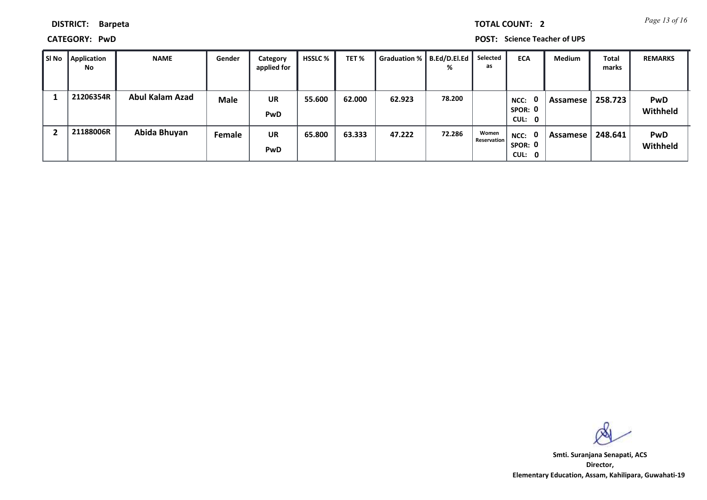*Page 13 of 16* **TOTAL COUNT: 2**

**DISTRICT: Barpeta**

**CATEGORY: PwD POST: Science Teacher of UPS**

| SI No | <b>Application</b><br><b>No</b> | <b>NAME</b>     | Gender      | Category<br>applied for | <b>HSSLC</b> % | TET %  | <b>Graduation %</b> | B.Ed/D.El.Ed<br>% | Selected<br>as              | <b>ECA</b>                     | <b>Medium</b> | <b>Total</b><br>marks | <b>REMARKS</b>         |
|-------|---------------------------------|-----------------|-------------|-------------------------|----------------|--------|---------------------|-------------------|-----------------------------|--------------------------------|---------------|-----------------------|------------------------|
|       | 21206354R                       | Abul Kalam Azad | <b>Male</b> | <b>UR</b><br>PwD        | 55.600         | 62.000 | 62.923              | 78.200            |                             | 0<br>NCC:<br>SPOR: 0<br>CUL: 0 | Assamese      | 258.723               | <b>PwD</b><br>Withheld |
|       | 21188006R                       | Abida Bhuyan    | Female      | <b>UR</b><br>PwD        | 65.800         | 63.333 | 47.222              | 72.286            | Women<br><b>Reservation</b> | NCC: 0<br>SPOR: 0<br>CUL: 0    | Assamese      | 248.641               | <b>PwD</b><br>Withheld |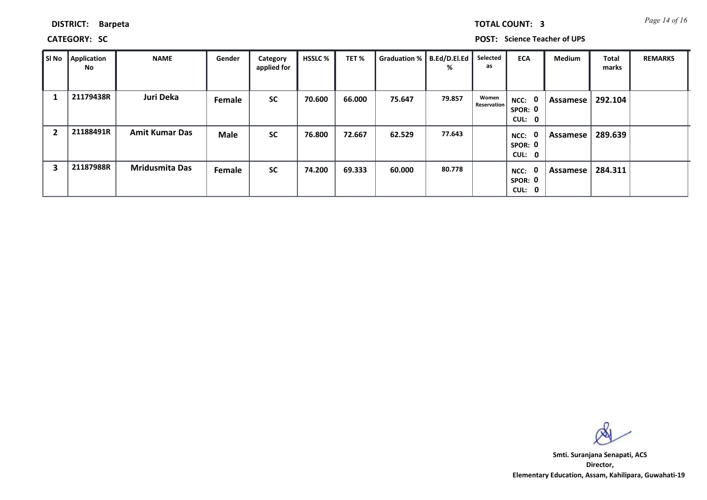| <b>TOTAL COUNT:</b> |  |
|---------------------|--|
|                     |  |

**DISTRICT: Barpeta**

**CATEGORY: SC POST: Science Teacher of UPS**

| SI No | <b>Application</b><br>No | <b>NAME</b>           | Gender        | Category<br>applied for | <b>HSSLC %</b> | TET%   | Graduation %   B.Ed/D.El.Ed | %      | Selected<br>as       | <b>ECA</b>                       | <b>Medium</b> | <b>Total</b><br>marks | <b>REMARKS</b> |
|-------|--------------------------|-----------------------|---------------|-------------------------|----------------|--------|-----------------------------|--------|----------------------|----------------------------------|---------------|-----------------------|----------------|
|       | 21179438R                | Juri Deka             | <b>Female</b> | <b>SC</b>               | 70.600         | 66.000 | 75.647                      | 79.857 | Women<br>Reservation | NCC: 0<br>SPOR: 0<br>CUL: 0      | Assamese      | 292.104               |                |
| 2     | 21188491R                | <b>Amit Kumar Das</b> | <b>Male</b>   | <b>SC</b>               | 76.800         | 72.667 | 62.529                      | 77.643 |                      | - 0<br>NCC:<br>SPOR: 0<br>CUL: 0 | Assamese      | 289.639               |                |
| 3     | 21187988R                | <b>Mridusmita Das</b> | Female        | <b>SC</b>               | 74.200         | 69.333 | 60.000                      | 80.778 |                      | 0<br>NCC:<br>SPOR: 0<br>CUL: 0   | Assamese      | 284.311               |                |

**Director, Elementary Education, Assam, Kahilipara, Guwahati-19 Smti. Suranjana Senapati, ACS**

**3** *Page 14 of 16*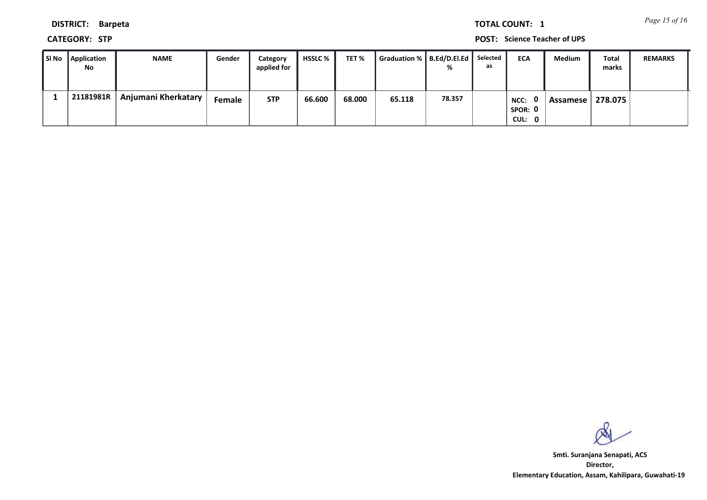*Page 15 of 16* **TOTAL COUNT: 1**

**DISTRICT: Barpeta**

**CATEGORY: STP POST: Science Teacher of UPS**

| SI No Application<br>No | <b>NAME</b>         | Gender | Category<br>applied for | <b>HSSLC</b> % | TET %  | Graduation %   B.Ed/D.El.Ed   Selected | %      | as | <b>ECA</b>                       | Medium     | Total<br>marks | <b>REMARKS</b> |
|-------------------------|---------------------|--------|-------------------------|----------------|--------|----------------------------------------|--------|----|----------------------------------|------------|----------------|----------------|
| 21181981R               | Anjumani Kherkatary | Female | <b>STP</b>              | 66.600         | 68.000 | 65.118                                 | 78.357 |    | . റ<br>NCC:<br>SPOR: 0<br>CUL: 0 | Assamese I | 278.075        |                |